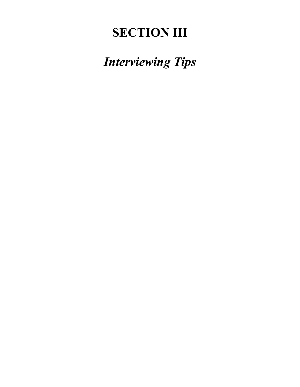# **SECTION III**

*Interviewing Tips*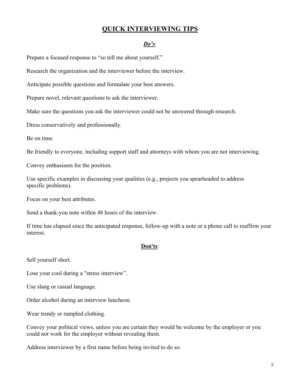## **QUICK INTERVIEWING TIPS**

#### *Do's*:

Prepare a focused response to "so tell me about yourself."

Research the organization and the interviewer before the interview.

Anticipate possible questions and formulate your best answers.

Prepare novel, relevant questions to ask the interviewer.

Make sure the questions you ask the interviewer could not be answered through research.

Dress conservatively and professionally.

Be on time.

Be friendly to everyone, including support staff and attorneys with whom you are not interviewing.

Convey enthusiasm for the position.

Use specific examples in discussing your qualities (e.g., projects you spearheaded to address specific problems).

Focus on your best attributes.

Send a thank-you note within 48 hours of the interview.

If time has elapsed since the anticipated response, follow-up with a note or a phone call to reaffirm your interest.

#### **Don'ts**:

Sell yourself short.

Lose your cool during a "stress interview".

Use slang or casual language.

Order alcohol during an interview luncheon.

Wear trendy or rumpled clothing.

Convey your political views, unless you are certain they would be welcome by the employer or you could not work for the employer without revealing them.

Address interviewer by a first name before being invited to do so.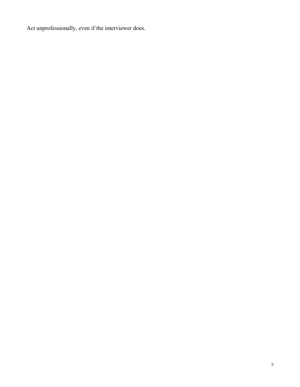Act unprofessionally, even if the interviewer does.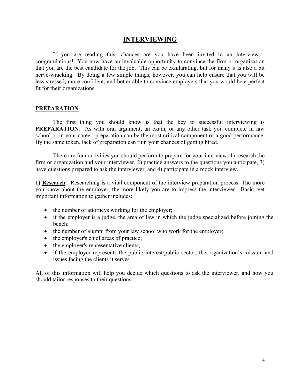## **INTERVIEWING**

If you are reading this, chances are you have been invited to an interview congratulations! You now have an invaluable opportunity to convince the firm or organization that you are the best candidate for the job. This can be exhilarating, but for many it is also a bit nerve-wracking. By doing a few simple things, however, you can help ensure that you will be less stressed, more confident, and better able to convince employers that you would be a perfect fit for their organizations.

## **PREPARATION**

The first thing you should know is that the key to successful interviewing is **PREPARATION.** As with oral argument, an exam, or any other task you complete in law school or in your career, preparation can be the most critical component of a good performance. By the same token, lack of preparation can ruin your chances of getting hired.

There are four activities you should perform to prepare for your interview: 1) research the firm or organization and your interviewer, 2) practice answers to the questions you anticipate, 3) have questions prepared to ask the interviewer, and 4) participate in a mock interview.

**1) Research**. Researching is a vital component of the interview preparation process. The more you know about the employer, the more likely you are to impress the interviewer. Basic, yet important information to gather includes:

- the number of attorneys working for the employer;
- if the employer is a judge, the area of law in which the judge specialized before joining the bench;
- the number of alumni from your law school who work for the employer;
- the employer's chief areas of practice;
- the employer's representative clients;
- if the employer represents the public interest/public sector, the organization's mission and issues facing the clients it serves.

All of this information will help you decide which questions to ask the interviewer, and how you should tailor responses to their questions.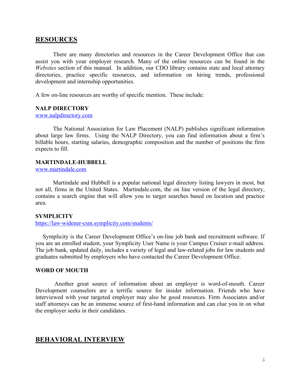#### **RESOURCES**

There are many directories and resources in the Career Development Office that can assist you with your employer research. Many of the online resources can be found in the *Websites* section of this manual. In addition, our CDO library contains state and local attorney directories, practice specific resources, and information on hiring trends, professional development and internship opportunities.

A few on-line resources are worthy of specific mention. These include:

#### **NALP DIRECTORY**

www.nalpdirectory.com

The National Association for Law Placement (NALP) publishes significant information about large law firms. Using the NALP Directory, you can find information about a firm's billable hours, starting salaries, demographic composition and the number of positions the firm expects to fill.

#### **MARTINDALE-HUBBELL**

www.martindale.com

Martindale and Hubbell is a popular national legal directory listing lawyers in most, but not all, firms in the United States. Martindale.com, the on line version of the legal directory, contains a search engine that will allow you to target searches based on location and practice area.

#### **SYMPLICITY**

https://law-widener-csm.symplicity.com/students/

 Symplicity is the Career Development Office's on-line job bank and recruitment software. If you are an enrolled student, your Symplicity User Name is your Campus Cruiser e-mail address. The job bank, updated daily, includes a variety of legal and law-related jobs for law students and graduates submitted by employers who have contacted the Career Development Office.

#### **WORD OF MOUTH**

Another great source of information about an employer is word-of-mouth. Career Development counselors are a terrific source for insider information. Friends who have interviewed with your targeted employer may also be good resources. Firm Associates and/or staff attorneys can be an immense source of first-hand information and can clue you in on what the employer seeks in their candidates.

#### **BEHAVIORAL INTERVIEW**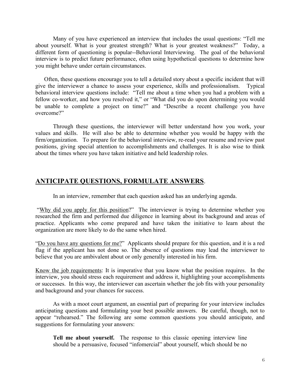Many of you have experienced an interview that includes the usual questions: "Tell me about yourself. What is your greatest strength? What is your greatest weakness?" Today, a different form of questioning is popular--Behavioral Interviewing. The goal of the behavioral interview is to predict future performance, often using hypothetical questions to determine how you might behave under certain circumstances.

 Often, these questions encourage you to tell a detailed story about a specific incident that will give the interviewer a chance to assess your experience, skills and professionalism. Typical behavioral interview questions include: "Tell me about a time when you had a problem with a fellow co-worker, and how you resolved it," or "What did you do upon determining you would be unable to complete a project on time?" and "Describe a recent challenge you have overcome?"

Through these questions, the interviewer will better understand how you work, your values and skills. He will also be able to determine whether you would be happy with the firm/organization. To prepare for the behavioral interview, re-read your resume and review past positions, giving special attention to accomplishments and challenges. It is also wise to think about the times where you have taken initiative and held leadership roles.

## **ANTICIPATE QUESTIONS, FORMULATE ANSWERS**.

In an interview, remember that each question asked has an underlying agenda.

"Why did you apply for this position?" The interviewer is trying to determine whether you researched the firm and performed due diligence in learning about its background and areas of practice. Applicants who come prepared and have taken the initiative to learn about the organization are more likely to do the same when hired.

"Do you have any questions for me?" Applicants should prepare for this question, and it is a red flag if the applicant has not done so. The absence of questions may lead the interviewer to believe that you are ambivalent about or only generally interested in his firm.

Know the job requirements: It is imperative that you know what the position requires. In the interview, you should stress each requirement and address it, highlighting your accomplishments or successes. In this way, the interviewer can ascertain whether the job fits with your personality and background and your chances for success.

As with a moot court argument, an essential part of preparing for your interview includes anticipating questions and formulating your best possible answers. Be careful, though, not to appear "rehearsed." The following are some common questions you should anticipate, and suggestions for formulating your answers:

**Tell me about yourself.** The response to this classic opening interview line should be a persuasive, focused "infomercial" about yourself, which should be no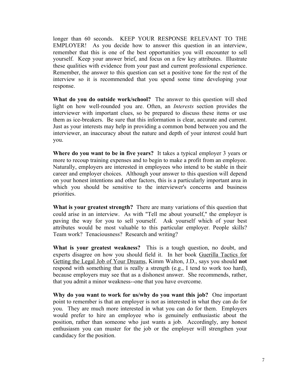longer than 60 seconds. KEEP YOUR RESPONSE RELEVANT TO THE EMPLOYER! As you decide how to answer this question in an interview, remember that this is one of the best opportunities you will encounter to sell yourself. Keep your answer brief, and focus on a few key attributes. Illustrate these qualities with evidence from your past and current professional experience. Remember, the answer to this question can set a positive tone for the rest of the interview so it is recommended that you spend some time developing your response.

**What do you do outside work/school?** The answer to this question will shed light on how well-rounded you are. Often, an *Interests* section provides the interviewer with important clues, so be prepared to discuss these items or use them as ice-breakers. Be sure that this information is clear, accurate and current. Just as your interests may help in providing a common bond between you and the interviewer, an inaccuracy about the nature and depth of your interest could hurt you.

**Where do you want to be in five years?** It takes a typical employer 3 years or more to recoup training expenses and to begin to make a profit from an employee. Naturally, employers are interested in employees who intend to be stable in their career and employer choices. Although your answer to this question will depend on your honest intentions and other factors, this is a particularly important area in which you should be sensitive to the interviewer's concerns and business priorities.

**What is your greatest strength?** There are many variations of this question that could arise in an interview. As with "Tell me about yourself," the employer is paving the way for you to sell yourself. Ask yourself which of your best attributes would be most valuable to this particular employer. People skills? Team work? Tenaciousness? Research and writing?

**What is your greatest weakness?** This is a tough question, no doubt, and experts disagree on how you should field it. In her book Guerilla Tactics for Getting the Legal Job of Your Dreams, Kimm Walton, J.D., says you should **not** respond with something that is really a strength (e.g., I tend to work too hard), because employers may see that as a dishonest answer. She recommends, rather, that you admit a minor weakness--one that you have overcome.

**Why do you want to work for us/why do you want this job?** One important point to remember is that an employer is not as interested in what they can do for you. They are much more interested in what you can do for them. Employers would prefer to hire an employee who is genuinely enthusiastic about the position, rather than someone who just wants a job. Accordingly, any honest enthusiasm you can muster for the job or the employer will strengthen your candidacy for the position.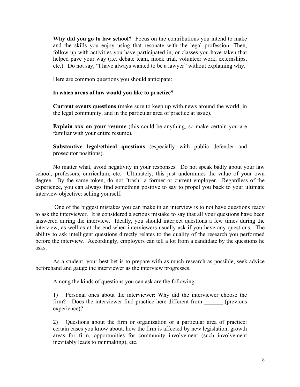**Why did you go to law school?** Focus on the contributions you intend to make and the skills you enjoy using that resonate with the legal profession. Then, follow-up with activities you have participated in, or classes you have taken that helped pave your way (i.e. debate team, mock trial, volunteer work, externships, etc.). Do not say, "I have always wanted to be a lawyer" without explaining why.

Here are common questions you should anticipate:

#### **In which areas of law would you like to practice?**

**Current events questions** (make sure to keep up with news around the world, in the legal community, and in the particular area of practice at issue).

**Explain xxx on your resume** (this could be anything, so make certain you are familiar with your entire resume).

**Substantive legal/ethical questions** (especially with public defender and prosecutor positions).

No matter what, avoid negativity in your responses. Do not speak badly about your law school, professors, curriculum, etc. Ultimately, this just undermines the value of your own degree. By the same token, do not "trash" a former or current employer. Regardless of the experience, you can always find something positive to say to propel you back to your ultimate interview objective: selling yourself.

One of the biggest mistakes you can make in an interview is to not have questions ready to ask the interviewer. It is considered a serious mistake to say that all your questions have been answered during the interview. Ideally, you should interject questions a few times during the interview, as well as at the end when interviewers usually ask if you have any questions. The ability to ask intelligent questions directly relates to the quality of the research you performed before the interview. Accordingly, employers can tell a lot from a candidate by the questions he asks.

As a student, your best bet is to prepare with as much research as possible, seek advice beforehand and gauge the interviewer as the interview progresses.

Among the kinds of questions you can ask are the following:

1) Personal ones about the interviewer: Why did the interviewer choose the firm? Does the interviewer find practice here different from (previous experience)?

2) Questions about the firm or organization or a particular area of practice: certain cases you know about, how the firm is affected by new legislation, growth areas for firm, opportunities for community involvement (such involvement inevitably leads to rainmaking), etc.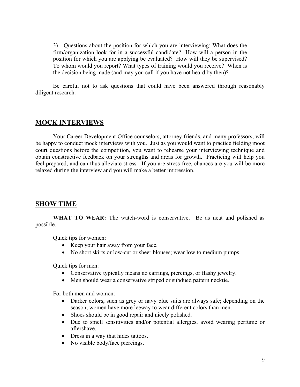3) Questions about the position for which you are interviewing: What does the firm/organization look for in a successful candidate? How will a person in the position for which you are applying be evaluated? How will they be supervised? To whom would you report? What types of training would you receive? When is the decision being made (and may you call if you have not heard by then)?

Be careful not to ask questions that could have been answered through reasonably diligent research.

## **MOCK INTERVIEWS**

Your Career Development Office counselors, attorney friends, and many professors, will be happy to conduct mock interviews with you. Just as you would want to practice fielding moot court questions before the competition, you want to rehearse your interviewing technique and obtain constructive feedback on your strengths and areas for growth. Practicing will help you feel prepared, and can thus alleviate stress. If you are stress-free, chances are you will be more relaxed during the interview and you will make a better impression.

## **SHOW TIME**

WHAT TO WEAR: The watch-word is conservative. Be as neat and polished as possible.

Quick tips for women:

- Keep your hair away from your face.
- No short skirts or low-cut or sheer blouses; wear low to medium pumps.

Quick tips for men:

- Conservative typically means no earrings, piercings, or flashy jewelry.
- Men should wear a conservative striped or subdued pattern necktie.

For both men and women:

- Darker colors, such as grey or navy blue suits are always safe; depending on the season, women have more leeway to wear different colors than men.
- Shoes should be in good repair and nicely polished.
- Due to smell sensitivities and/or potential allergies, avoid wearing perfume or aftershave.
- Dress in a way that hides tattoos.
- No visible body/face piercings.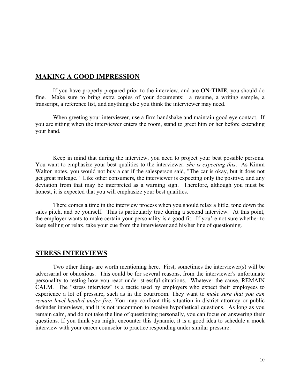## **MAKING A GOOD IMPRESSION**

If you have properly prepared prior to the interview, and are **ON-TIME**, you should do fine. Make sure to bring extra copies of your documents: a resume, a writing sample, a transcript, a reference list, and anything else you think the interviewer may need.

When greeting your interviewer, use a firm handshake and maintain good eye contact. If you are sitting when the interviewer enters the room, stand to greet him or her before extending your hand.

Keep in mind that during the interview, you need to project your best possible persona. You want to emphasize your best qualities to the interviewer: *she is expecting this*. As Kimm Walton notes, you would not buy a car if the salesperson said, "The car is okay, but it does not get great mileage." Like other consumers, the interviewer is expecting only the positive, and any deviation from that may be interpreted as a warning sign. Therefore, although you must be honest, it is expected that you will emphasize your best qualities.

There comes a time in the interview process when you should relax a little, tone down the sales pitch, and be yourself. This is particularly true during a second interview. At this point, the employer wants to make certain your personality is a good fit. If you're not sure whether to keep selling or relax, take your cue from the interviewer and his/her line of questioning.

## **STRESS INTERVIEWS**

Two other things are worth mentioning here. First, sometimes the interviewer(s) will be adversarial or obnoxious. This could be for several reasons, from the interviewer's unfortunate personality to testing how you react under stressful situations. Whatever the cause, REMAIN CALM. The "stress interview" is a tactic used by employers who expect their employees to experience a lot of pressure, such as in the courtroom. They want to *make sure that you can remain level-headed under fire.* You may confront this situation in district attorney or public defender interviews, and it is not uncommon to receive hypothetical questions. As long as you remain calm, and do not take the line of questioning personally, you can focus on answering their questions. If you think you might encounter this dynamic, it is a good idea to schedule a mock interview with your career counselor to practice responding under similar pressure.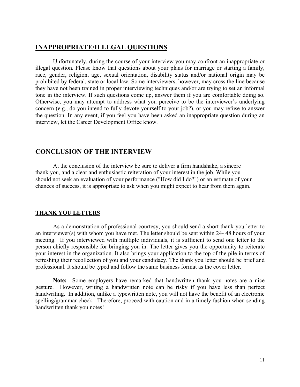#### **INAPPROPRIATE/ILLEGAL QUESTIONS**

Unfortunately, during the course of your interview you may confront an inappropriate or illegal question. Please know that questions about your plans for marriage or starting a family, race, gender, religion, age, sexual orientation, disability status and/or national origin may be prohibited by federal, state or local law. Some interviewers, however, may cross the line because they have not been trained in proper interviewing techniques and/or are trying to set an informal tone in the interview. If such questions come up, answer them if you are comfortable doing so. Otherwise, you may attempt to address what you perceive to be the interviewer's underlying concern (e.g., do you intend to fully devote yourself to your job?), or you may refuse to answer the question. In any event, if you feel you have been asked an inappropriate question during an interview, let the Career Development Office know.

## **CONCLUSION OF THE INTERVIEW**

At the conclusion of the interview be sure to deliver a firm handshake, a sincere thank you, and a clear and enthusiastic reiteration of your interest in the job. While you should not seek an evaluation of your performance ("How did I do?") or an estimate of your chances of success, it is appropriate to ask when you might expect to hear from them again.

#### **THANK YOU LETTERS**

As a demonstration of professional courtesy, you should send a short thank-you letter to an interviewer(s) with whom you have met. The letter should be sent within 24- 48 hours of your meeting. If you interviewed with multiple individuals, it is sufficient to send one letter to the person chiefly responsible for bringing you in. The letter gives you the opportunity to reiterate your interest in the organization. It also brings your application to the top of the pile in terms of refreshing their recollection of you and your candidacy. The thank you letter should be brief and professional. It should be typed and follow the same business format as the cover letter.

**Note:** Some employers have remarked that handwritten thank you notes are a nice gesture. However, writing a handwritten note can be risky if you have less than perfect handwriting. In addition, unlike a typewritten note, you will not have the benefit of an electronic spelling/grammar check. Therefore, proceed with caution and in a timely fashion when sending handwritten thank you notes!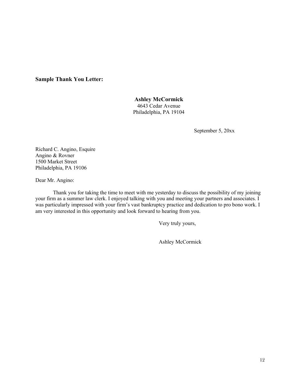#### **Sample Thank You Letter:**

#### **Ashley McCormick**

4643 Cedar Avenue Philadelphia, PA 19104

September 5, 20xx

Richard C. Angino, Esquire Angino & Rovner 1500 Market Street Philadelphia, PA 19106

Dear Mr. Angino:

Thank you for taking the time to meet with me yesterday to discuss the possibility of my joining your firm as a summer law clerk. I enjoyed talking with you and meeting your partners and associates. I was particularly impressed with your firm's vast bankruptcy practice and dedication to pro bono work. I am very interested in this opportunity and look forward to hearing from you.

Very truly yours,

Ashley McCormick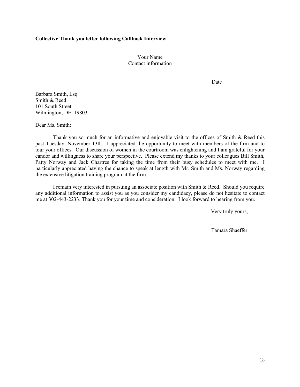#### **Collective Thank you letter following Callback Interview**

Your Name Contact information

Date

Barbara Smith, Esq. Smith & Reed 101 South Street Wilmington, DE 19803

Dear Ms. Smith:

Thank you so much for an informative and enjoyable visit to the offices of Smith & Reed this past Tuesday, November 13th. I appreciated the opportunity to meet with members of the firm and to tour your offices. Our discussion of women in the courtroom was enlightening and I am grateful for your candor and willingness to share your perspective. Please extend my thanks to your colleagues Bill Smith, Patty Norway and Jack Chartres for taking the time from their busy schedules to meet with me. I particularly appreciated having the chance to speak at length with Mr. Smith and Ms. Norway regarding the extensive litigation training program at the firm.

I remain very interested in pursuing an associate position with Smith & Reed. Should you require any additional information to assist you as you consider my candidacy, please do not hesitate to contact me at 302-443-2233. Thank you for your time and consideration. I look forward to hearing from you.

Very truly yours,

Tamara Shaeffer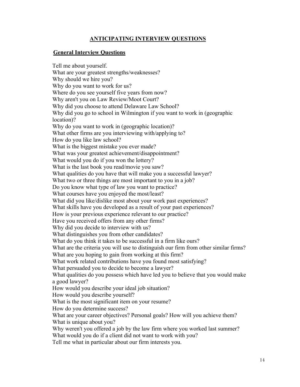## **ANTICIPATING INTERVIEW QUESTIONS**

#### **General Interview Questions**

Tell me about yourself. What are your greatest strengths/weaknesses? Why should we hire you? Why do you want to work for us? Where do you see yourself five years from now? Why aren't you on Law Review/Moot Court? Why did you choose to attend Delaware Law School? Why did you go to school in Wilmington if you want to work in (geographic location)? Why do you want to work in (geographic location)? What other firms are you interviewing with/applying to? How do you like law school? What is the biggest mistake you ever made? What was your greatest achievement/disappointment? What would you do if you won the lottery? What is the last book you read/movie you saw? What qualities do you have that will make you a successful lawyer? What two or three things are most important to you in a job? Do you know what type of law you want to practice? What courses have you enjoyed the most/least? What did you like/dislike most about your work past experiences? What skills have you developed as a result of your past experiences? How is your previous experience relevant to our practice? Have you received offers from any other firms? Why did you decide to interview with us? What distinguishes you from other candidates? What do you think it takes to be successful in a firm like ours? What are the criteria you will use to distinguish our firm from other similar firms? What are you hoping to gain from working at this firm? What work related contributions have you found most satisfying? What persuaded you to decide to become a lawyer? What qualities do you possess which have led you to believe that you would make a good lawyer? How would you describe your ideal job situation? How would you describe yourself? What is the most significant item on your resume? How do you determine success? What are your career objectives? Personal goals? How will you achieve them? What is unique about you? Why weren't you offered a job by the law firm where you worked last summer? What would you do if a client did not want to work with you?

Tell me what in particular about our firm interests you.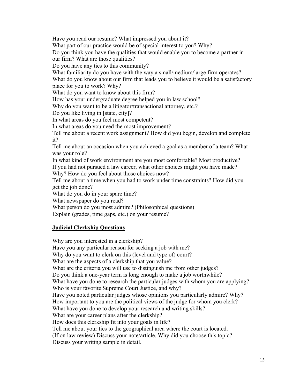Have you read our resume? What impressed you about it?

What part of our practice would be of special interest to you? Why?

Do you think you have the qualities that would enable you to become a partner in our firm? What are those qualities?

Do you have any ties to this community?

What familiarity do you have with the way a small/medium/large firm operates?

What do you know about our firm that leads you to believe it would be a satisfactory place for you to work? Why?

What do you want to know about this firm?

How has your undergraduate degree helped you in law school?

Why do you want to be a litigator/transactional attorney, etc.?

Do you like living in [state, city]?

In what areas do you feel most competent?

In what areas do you need the most improvement?

Tell me about a recent work assignment? How did you begin, develop and complete it?

Tell me about an occasion when you achieved a goal as a member of a team? What was your role?

In what kind of work environment are you most comfortable? Most productive? If you had not pursued a law career, what other choices might you have made? Why? How do you feel about those choices now?

Tell me about a time when you had to work under time constraints? How did you get the job done?

What do you do in your spare time?

What newspaper do you read?

What person do you most admire? (Philosophical questions)

Explain (grades, time gaps, etc.) on your resume?

## **Judicial Clerkship Questions**

Why are you interested in a clerkship? Have you any particular reason for seeking a job with me? Why do you want to clerk on this (level and type of) court? What are the aspects of a clerkship that you value? What are the criteria you will use to distinguish me from other judges? Do you think a one-year term is long enough to make a job worthwhile? What have you done to research the particular judges with whom you are applying? Who is your favorite Supreme Court Justice, and why? Have you noted particular judges whose opinions you particularly admire? Why? How important to you are the political views of the judge for whom you clerk? What have you done to develop your research and writing skills? What are your career plans after the clerkship? How does this clerkship fit into your goals in life? Tell me about your ties to the geographical area where the court is located. (If on law review) Discuss your note/article. Why did you choose this topic? Discuss your writing sample in detail.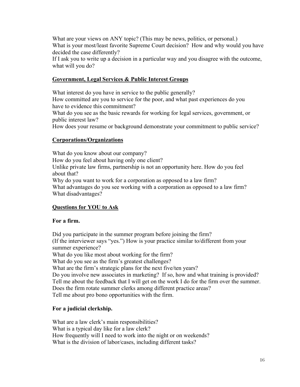What are your views on ANY topic? (This may be news, politics, or personal.) What is your most/least favorite Supreme Court decision? How and why would you have decided the case differently?

If I ask you to write up a decision in a particular way and you disagree with the outcome, what will you do?

## **Government, Legal Services & Public Interest Groups**

What interest do you have in service to the public generally? How committed are you to service for the poor, and what past experiences do you have to evidence this commitment?

What do you see as the basic rewards for working for legal services, government, or public interest law?

How does your resume or background demonstrate your commitment to public service?

#### **Corporations/Organizations**

What do you know about our company? How do you feel about having only one client? Unlike private law firms, partnership is not an opportunity here. How do you feel about that? Why do you want to work for a corporation as opposed to a law firm? What advantages do you see working with a corporation as opposed to a law firm? What disadvantages?

## **Questions for YOU to Ask**

#### **For a firm.**

Did you participate in the summer program before joining the firm? (If the interviewer says "yes.") How is your practice similar to/different from your summer experience? What do you like most about working for the firm? What do you see as the firm's greatest challenges? What are the firm's strategic plans for the next five/ten years? Do you involve new associates in marketing? If so, how and what training is provided? Tell me about the feedback that I will get on the work I do for the firm over the summer.

Does the firm rotate summer clerks among different practice areas?

Tell me about pro bono opportunities with the firm.

#### **For a judicial clerkship.**

What are a law clerk's main responsibilities? What is a typical day like for a law clerk? How frequently will I need to work into the night or on weekends? What is the division of labor/cases, including different tasks?